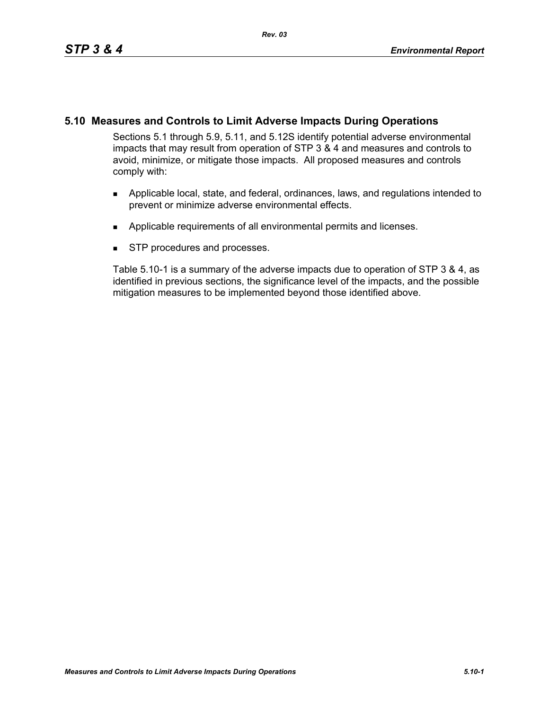Sections 5.1 through 5.9, 5.11, and 5.12S identify potential adverse environmental impacts that may result from operation of STP 3 & 4 and measures and controls to avoid, minimize, or mitigate those impacts. All proposed measures and controls comply with:

- Applicable local, state, and federal, ordinances, laws, and regulations intended to prevent or minimize adverse environmental effects.
- **Applicable requirements of all environmental permits and licenses.**
- **STP** procedures and processes.

Table 5.10-1 is a summary of the adverse impacts due to operation of STP 3 & 4, as identified in previous sections, the significance level of the impacts, and the possible mitigation measures to be implemented beyond those identified above.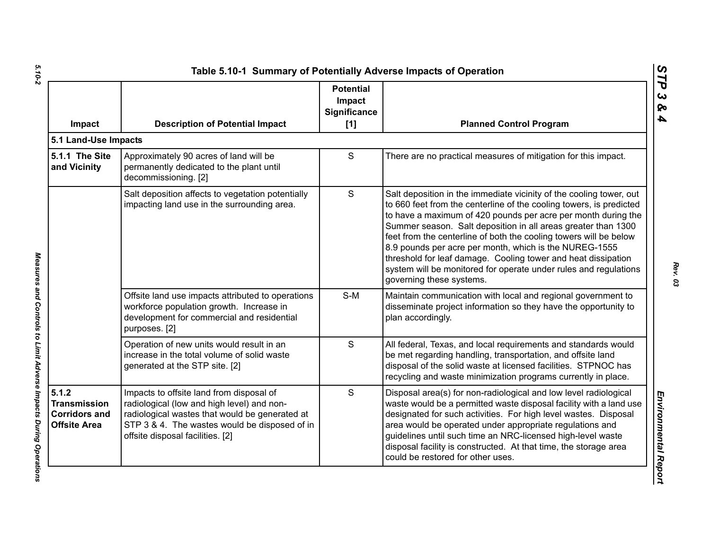| Impact                                                                      | <b>Description of Potential Impact</b>                                                                                                                                                                                        | <b>Potential</b><br>Impact<br><b>Significance</b><br>[1] | <b>Planned Control Program</b>                                                                                                                                                                                                                                                                                                                                                                                                                                                                                                                                               |
|-----------------------------------------------------------------------------|-------------------------------------------------------------------------------------------------------------------------------------------------------------------------------------------------------------------------------|----------------------------------------------------------|------------------------------------------------------------------------------------------------------------------------------------------------------------------------------------------------------------------------------------------------------------------------------------------------------------------------------------------------------------------------------------------------------------------------------------------------------------------------------------------------------------------------------------------------------------------------------|
| 5.1 Land-Use Impacts                                                        |                                                                                                                                                                                                                               |                                                          |                                                                                                                                                                                                                                                                                                                                                                                                                                                                                                                                                                              |
| 5.1.1 The Site<br>and Vicinity                                              | Approximately 90 acres of land will be<br>permanently dedicated to the plant until<br>decommissioning. [2]                                                                                                                    | $\mathsf{S}$                                             | There are no practical measures of mitigation for this impact.                                                                                                                                                                                                                                                                                                                                                                                                                                                                                                               |
|                                                                             | Salt deposition affects to vegetation potentially<br>impacting land use in the surrounding area.                                                                                                                              | $\mathsf{S}$                                             | Salt deposition in the immediate vicinity of the cooling tower, out<br>to 660 feet from the centerline of the cooling towers, is predicted<br>to have a maximum of 420 pounds per acre per month during the<br>Summer season. Salt deposition in all areas greater than 1300<br>feet from the centerline of both the cooling towers will be below<br>8.9 pounds per acre per month, which is the NUREG-1555<br>threshold for leaf damage. Cooling tower and heat dissipation<br>system will be monitored for operate under rules and regulations<br>governing these systems. |
|                                                                             | Offsite land use impacts attributed to operations<br>workforce population growth. Increase in<br>development for commercial and residential<br>purposes. [2]                                                                  | $S-M$                                                    | Maintain communication with local and regional government to<br>disseminate project information so they have the opportunity to<br>plan accordingly.                                                                                                                                                                                                                                                                                                                                                                                                                         |
|                                                                             | Operation of new units would result in an<br>increase in the total volume of solid waste<br>generated at the STP site. [2]                                                                                                    | $\mathsf{S}$                                             | All federal, Texas, and local requirements and standards would<br>be met regarding handling, transportation, and offsite land<br>disposal of the solid waste at licensed facilities. STPNOC has<br>recycling and waste minimization programs currently in place.                                                                                                                                                                                                                                                                                                             |
| 5.1.2<br><b>Transmission</b><br><b>Corridors and</b><br><b>Offsite Area</b> | Impacts to offsite land from disposal of<br>radiological (low and high level) and non-<br>radiological wastes that would be generated at<br>STP 3 & 4. The wastes would be disposed of in<br>offsite disposal facilities. [2] | S                                                        | Disposal area(s) for non-radiological and low level radiological<br>waste would be a permitted waste disposal facility with a land use<br>designated for such activities. For high level wastes. Disposal<br>area would be operated under appropriate regulations and<br>guidelines until such time an NRC-licensed high-level waste<br>disposal facility is constructed. At that time, the storage area<br>could be restored for other uses.                                                                                                                                |

*STP 3 & 4*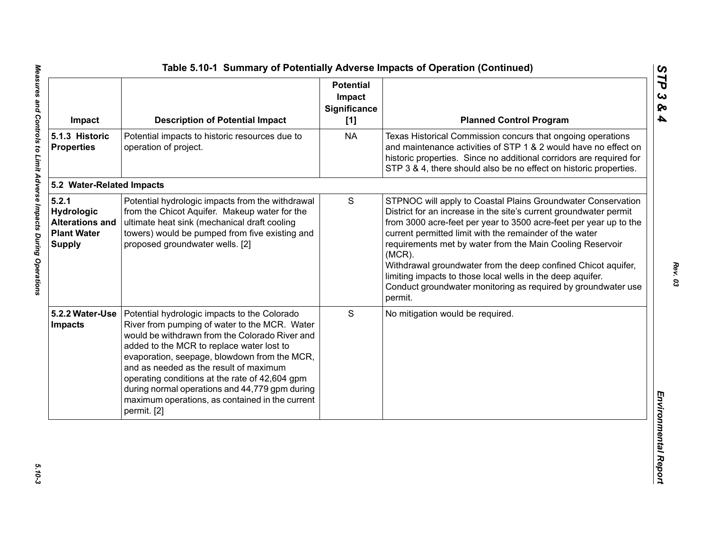| Impact                                                                        | <b>Description of Potential Impact</b>                                                                                                                                                                                                                                                                                                                                                                                                                       | <b>Potential</b><br>Impact<br><b>Significance</b><br>[1] | <b>Planned Control Program</b>                                                                                                                                                                                                                                                                                                                                                                                                                                                                                                                         |
|-------------------------------------------------------------------------------|--------------------------------------------------------------------------------------------------------------------------------------------------------------------------------------------------------------------------------------------------------------------------------------------------------------------------------------------------------------------------------------------------------------------------------------------------------------|----------------------------------------------------------|--------------------------------------------------------------------------------------------------------------------------------------------------------------------------------------------------------------------------------------------------------------------------------------------------------------------------------------------------------------------------------------------------------------------------------------------------------------------------------------------------------------------------------------------------------|
| 5.1.3 Historic<br><b>Properties</b>                                           | Potential impacts to historic resources due to<br>operation of project.                                                                                                                                                                                                                                                                                                                                                                                      | <b>NA</b>                                                | Texas Historical Commission concurs that ongoing operations<br>and maintenance activities of STP 1 & 2 would have no effect on<br>historic properties. Since no additional corridors are required for<br>STP 3 & 4, there should also be no effect on historic properties.                                                                                                                                                                                                                                                                             |
| 5.2 Water-Related Impacts                                                     |                                                                                                                                                                                                                                                                                                                                                                                                                                                              |                                                          |                                                                                                                                                                                                                                                                                                                                                                                                                                                                                                                                                        |
| 5.2.1<br>Hydrologic<br><b>Alterations and</b><br><b>Plant Water</b><br>Supply | Potential hydrologic impacts from the withdrawal<br>from the Chicot Aquifer. Makeup water for the<br>ultimate heat sink (mechanical draft cooling<br>towers) would be pumped from five existing and<br>proposed groundwater wells. [2]                                                                                                                                                                                                                       | S                                                        | STPNOC will apply to Coastal Plains Groundwater Conservation<br>District for an increase in the site's current groundwater permit<br>from 3000 acre-feet per year to 3500 acre-feet per year up to the<br>current permitted limit with the remainder of the water<br>requirements met by water from the Main Cooling Reservoir<br>$(MCR)$ .<br>Withdrawal groundwater from the deep confined Chicot aquifer,<br>limiting impacts to those local wells in the deep aquifer.<br>Conduct groundwater monitoring as required by groundwater use<br>permit. |
| 5.2.2 Water-Use<br><b>Impacts</b>                                             | Potential hydrologic impacts to the Colorado<br>River from pumping of water to the MCR. Water<br>would be withdrawn from the Colorado River and<br>added to the MCR to replace water lost to<br>evaporation, seepage, blowdown from the MCR,<br>and as needed as the result of maximum<br>operating conditions at the rate of 42,604 gpm<br>during normal operations and 44,779 gpm during<br>maximum operations, as contained in the current<br>permit. [2] | S                                                        | No mitigation would be required.                                                                                                                                                                                                                                                                                                                                                                                                                                                                                                                       |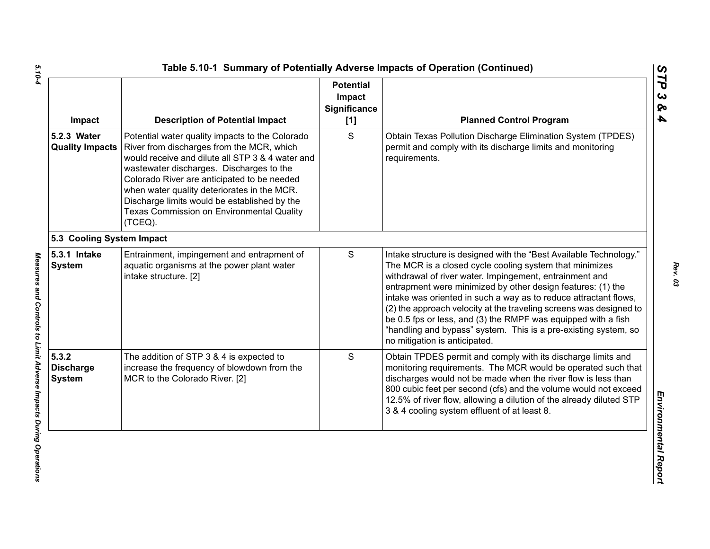| Impact                                     | <b>Description of Potential Impact</b>                                                                                                                                                                                                                                                                                                                                                             | <b>Potential</b><br>Impact<br>Significance<br>$[1]$ | <b>Planned Control Program</b>                                                                                                                                                                                                                                                                                                                                                                                                                                                                                                                                         |
|--------------------------------------------|----------------------------------------------------------------------------------------------------------------------------------------------------------------------------------------------------------------------------------------------------------------------------------------------------------------------------------------------------------------------------------------------------|-----------------------------------------------------|------------------------------------------------------------------------------------------------------------------------------------------------------------------------------------------------------------------------------------------------------------------------------------------------------------------------------------------------------------------------------------------------------------------------------------------------------------------------------------------------------------------------------------------------------------------------|
| 5.2.3 Water<br><b>Quality Impacts</b>      | Potential water quality impacts to the Colorado<br>River from discharges from the MCR, which<br>would receive and dilute all STP 3 & 4 water and<br>wastewater discharges. Discharges to the<br>Colorado River are anticipated to be needed<br>when water quality deteriorates in the MCR.<br>Discharge limits would be established by the<br>Texas Commission on Environmental Quality<br>(TCEQ). | S                                                   | Obtain Texas Pollution Discharge Elimination System (TPDES)<br>permit and comply with its discharge limits and monitoring<br>requirements.                                                                                                                                                                                                                                                                                                                                                                                                                             |
| 5.3 Cooling System Impact                  |                                                                                                                                                                                                                                                                                                                                                                                                    |                                                     |                                                                                                                                                                                                                                                                                                                                                                                                                                                                                                                                                                        |
| 5.3.1 Intake<br><b>System</b>              | Entrainment, impingement and entrapment of<br>aquatic organisms at the power plant water<br>intake structure. [2]                                                                                                                                                                                                                                                                                  | S                                                   | Intake structure is designed with the "Best Available Technology."<br>The MCR is a closed cycle cooling system that minimizes<br>withdrawal of river water. Impingement, entrainment and<br>entrapment were minimized by other design features: (1) the<br>intake was oriented in such a way as to reduce attractant flows,<br>(2) the approach velocity at the traveling screens was designed to<br>be 0.5 fps or less, and (3) the RMPF was equipped with a fish<br>"handling and bypass" system. This is a pre-existing system, so<br>no mitigation is anticipated. |
| 5.3.2<br><b>Discharge</b><br><b>System</b> | The addition of STP 3 & 4 is expected to<br>increase the frequency of blowdown from the<br>MCR to the Colorado River. [2]                                                                                                                                                                                                                                                                          | S                                                   | Obtain TPDES permit and comply with its discharge limits and<br>monitoring requirements. The MCR would be operated such that<br>discharges would not be made when the river flow is less than<br>800 cubic feet per second (cfs) and the volume would not exceed<br>12.5% of river flow, allowing a dilution of the already diluted STP<br>3 & 4 cooling system effluent of at least 8.                                                                                                                                                                                |

*STP 3 & 4*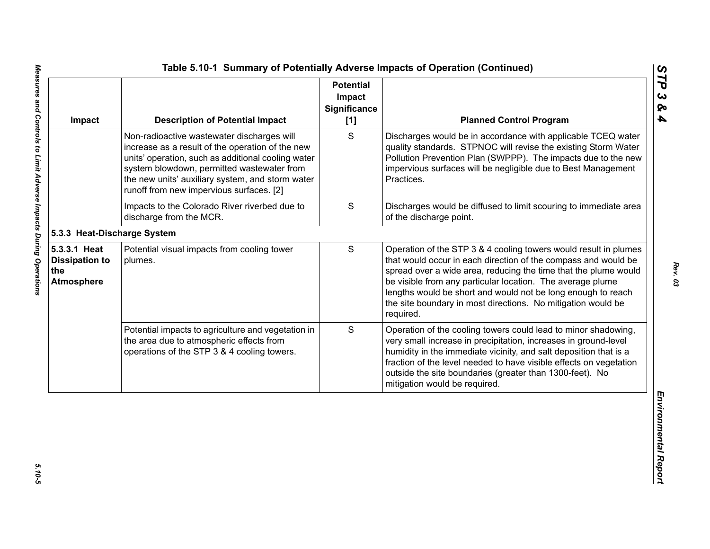| Impact                                                            | <b>Description of Potential Impact</b>                                                                                                                                                                                                                                                             | <b>Potential</b><br>Impact<br>Significance<br>[1] | <b>Planned Control Program</b>                                                                                                                                                                                                                                                                                                                                                                                   |
|-------------------------------------------------------------------|----------------------------------------------------------------------------------------------------------------------------------------------------------------------------------------------------------------------------------------------------------------------------------------------------|---------------------------------------------------|------------------------------------------------------------------------------------------------------------------------------------------------------------------------------------------------------------------------------------------------------------------------------------------------------------------------------------------------------------------------------------------------------------------|
|                                                                   | Non-radioactive wastewater discharges will<br>increase as a result of the operation of the new<br>units' operation, such as additional cooling water<br>system blowdown, permitted wastewater from<br>the new units' auxiliary system, and storm water<br>runoff from new impervious surfaces. [2] | S                                                 | Discharges would be in accordance with applicable TCEQ water<br>quality standards. STPNOC will revise the existing Storm Water<br>Pollution Prevention Plan (SWPPP). The impacts due to the new<br>impervious surfaces will be negligible due to Best Management<br>Practices.                                                                                                                                   |
|                                                                   | Impacts to the Colorado River riverbed due to<br>discharge from the MCR.                                                                                                                                                                                                                           | S                                                 | Discharges would be diffused to limit scouring to immediate area<br>of the discharge point.                                                                                                                                                                                                                                                                                                                      |
| 5.3.3 Heat-Discharge System                                       |                                                                                                                                                                                                                                                                                                    |                                                   |                                                                                                                                                                                                                                                                                                                                                                                                                  |
| 5.3.3.1 Heat<br><b>Dissipation to</b><br>the<br><b>Atmosphere</b> | Potential visual impacts from cooling tower<br>plumes.                                                                                                                                                                                                                                             | S                                                 | Operation of the STP 3 & 4 cooling towers would result in plumes<br>that would occur in each direction of the compass and would be<br>spread over a wide area, reducing the time that the plume would<br>be visible from any particular location. The average plume<br>lengths would be short and would not be long enough to reach<br>the site boundary in most directions. No mitigation would be<br>required. |
|                                                                   | Potential impacts to agriculture and vegetation in<br>the area due to atmospheric effects from<br>operations of the STP 3 & 4 cooling towers.                                                                                                                                                      | S                                                 | Operation of the cooling towers could lead to minor shadowing,<br>very small increase in precipitation, increases in ground-level<br>humidity in the immediate vicinity, and salt deposition that is a<br>fraction of the level needed to have visible effects on vegetation<br>outside the site boundaries (greater than 1300-feet). No<br>mitigation would be required.                                        |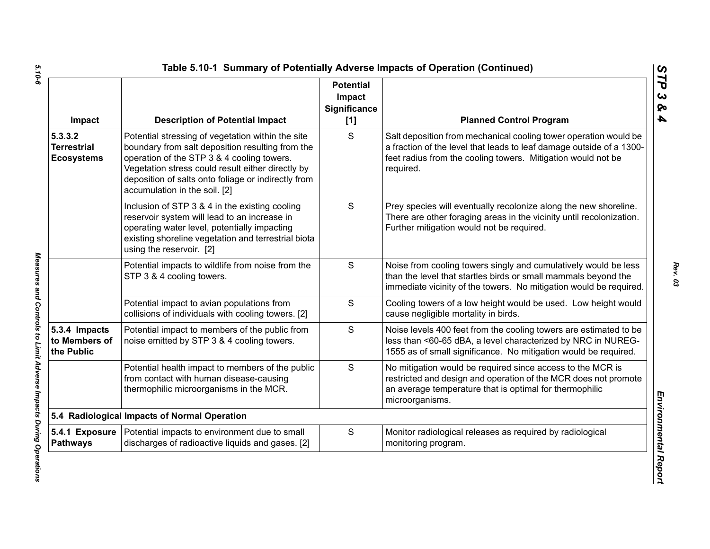| Impact                                             | <b>Description of Potential Impact</b>                                                                                                                                                                                                                                                           | <b>Potential</b><br>Impact<br><b>Significance</b><br>[1] | <b>Planned Control Program</b>                                                                                                                                                                                        |
|----------------------------------------------------|--------------------------------------------------------------------------------------------------------------------------------------------------------------------------------------------------------------------------------------------------------------------------------------------------|----------------------------------------------------------|-----------------------------------------------------------------------------------------------------------------------------------------------------------------------------------------------------------------------|
| 5.3.3.2<br><b>Terrestrial</b><br><b>Ecosystems</b> | Potential stressing of vegetation within the site<br>boundary from salt deposition resulting from the<br>operation of the STP 3 & 4 cooling towers.<br>Vegetation stress could result either directly by<br>deposition of salts onto foliage or indirectly from<br>accumulation in the soil. [2] | S                                                        | Salt deposition from mechanical cooling tower operation would be<br>a fraction of the level that leads to leaf damage outside of a 1300-<br>feet radius from the cooling towers. Mitigation would not be<br>required. |
|                                                    | Inclusion of STP 3 & 4 in the existing cooling<br>reservoir system will lead to an increase in<br>operating water level, potentially impacting<br>existing shoreline vegetation and terrestrial biota<br>using the reservoir. [2]                                                                | S                                                        | Prey species will eventually recolonize along the new shoreline.<br>There are other foraging areas in the vicinity until recolonization.<br>Further mitigation would not be required.                                 |
|                                                    | Potential impacts to wildlife from noise from the<br>STP 3 & 4 cooling towers.                                                                                                                                                                                                                   | S                                                        | Noise from cooling towers singly and cumulatively would be less<br>than the level that startles birds or small mammals beyond the<br>immediate vicinity of the towers. No mitigation would be required.               |
|                                                    | Potential impact to avian populations from<br>collisions of individuals with cooling towers. [2]                                                                                                                                                                                                 | S                                                        | Cooling towers of a low height would be used. Low height would<br>cause negligible mortality in birds.                                                                                                                |
| 5.3.4 Impacts<br>to Members of<br>the Public       | Potential impact to members of the public from<br>noise emitted by STP 3 & 4 cooling towers.                                                                                                                                                                                                     | S                                                        | Noise levels 400 feet from the cooling towers are estimated to be<br>less than <60-65 dBA, a level characterized by NRC in NUREG-<br>1555 as of small significance. No mitigation would be required.                  |
|                                                    | Potential health impact to members of the public<br>from contact with human disease-causing<br>thermophilic microorganisms in the MCR.                                                                                                                                                           | S                                                        | No mitigation would be required since access to the MCR is<br>restricted and design and operation of the MCR does not promote<br>an average temperature that is optimal for thermophilic<br>microorganisms.           |
|                                                    | 5.4 Radiological Impacts of Normal Operation                                                                                                                                                                                                                                                     |                                                          |                                                                                                                                                                                                                       |
| <b>Pathways</b>                                    | 5.4.1 Exposure   Potential impacts to environment due to small<br>discharges of radioactive liquids and gases. [2]                                                                                                                                                                               | S                                                        | Monitor radiological releases as required by radiological<br>monitoring program.                                                                                                                                      |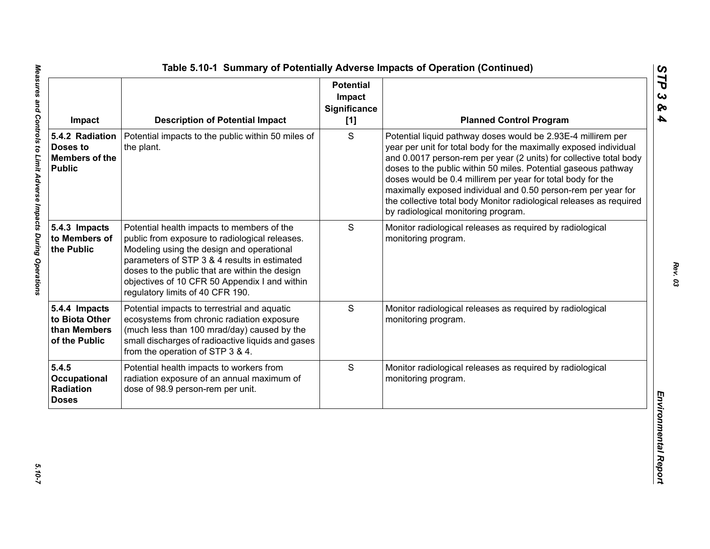| Impact                                                                | <b>Description of Potential Impact</b>                                                                                                                                                                                                                                                                                           | <b>Potential</b><br>Impact<br>Significance<br>[1] | <b>Planned Control Program</b>                                                                                                                                                                                                                                                                                                                                                                                                                                                                                          |
|-----------------------------------------------------------------------|----------------------------------------------------------------------------------------------------------------------------------------------------------------------------------------------------------------------------------------------------------------------------------------------------------------------------------|---------------------------------------------------|-------------------------------------------------------------------------------------------------------------------------------------------------------------------------------------------------------------------------------------------------------------------------------------------------------------------------------------------------------------------------------------------------------------------------------------------------------------------------------------------------------------------------|
| 5.4.2 Radiation<br>Doses to<br><b>Members of the</b><br><b>Public</b> | Potential impacts to the public within 50 miles of<br>the plant.                                                                                                                                                                                                                                                                 | S                                                 | Potential liquid pathway doses would be 2.93E-4 millirem per<br>year per unit for total body for the maximally exposed individual<br>and 0.0017 person-rem per year (2 units) for collective total body<br>doses to the public within 50 miles. Potential gaseous pathway<br>doses would be 0.4 millirem per year for total body for the<br>maximally exposed individual and 0.50 person-rem per year for<br>the collective total body Monitor radiological releases as required<br>by radiological monitoring program. |
| 5.4.3 Impacts<br>to Members of<br>the Public                          | Potential health impacts to members of the<br>public from exposure to radiological releases.<br>Modeling using the design and operational<br>parameters of STP 3 & 4 results in estimated<br>doses to the public that are within the design<br>objectives of 10 CFR 50 Appendix I and within<br>regulatory limits of 40 CFR 190. | S                                                 | Monitor radiological releases as required by radiological<br>monitoring program.                                                                                                                                                                                                                                                                                                                                                                                                                                        |
| 5.4.4 Impacts<br>to Biota Other<br>than Members<br>of the Public      | Potential impacts to terrestrial and aquatic<br>ecosystems from chronic radiation exposure<br>(much less than 100 mrad/day) caused by the<br>small discharges of radioactive liquids and gases<br>from the operation of STP 3 & 4.                                                                                               | S                                                 | Monitor radiological releases as required by radiological<br>monitoring program.                                                                                                                                                                                                                                                                                                                                                                                                                                        |
| 5.4.5<br>Occupational<br>Radiation<br><b>Doses</b>                    | Potential health impacts to workers from<br>radiation exposure of an annual maximum of<br>dose of 98.9 person-rem per unit.                                                                                                                                                                                                      | S                                                 | Monitor radiological releases as required by radiological<br>monitoring program.                                                                                                                                                                                                                                                                                                                                                                                                                                        |

*STP 3 & 4*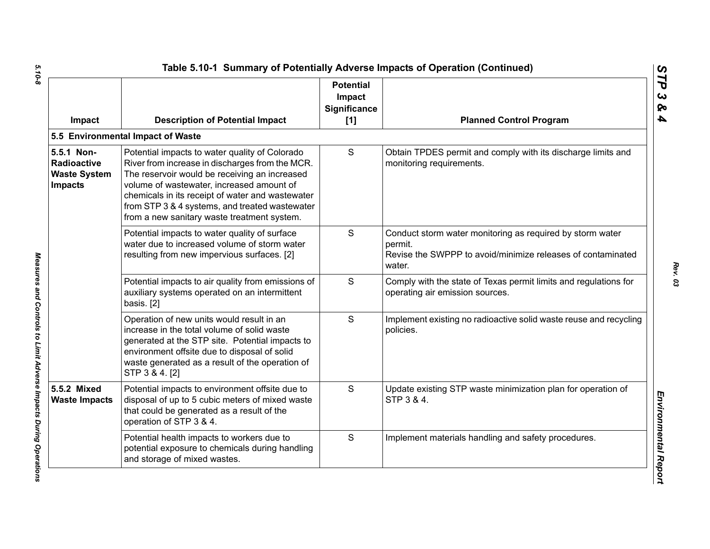| Impact                                                                    | <b>Description of Potential Impact</b>                                                                                                                                                                                                                                                                                                               | <b>Potential</b><br>Impact<br>Significance<br>[1] | <b>Planned Control Program</b>                                                                                                                |
|---------------------------------------------------------------------------|------------------------------------------------------------------------------------------------------------------------------------------------------------------------------------------------------------------------------------------------------------------------------------------------------------------------------------------------------|---------------------------------------------------|-----------------------------------------------------------------------------------------------------------------------------------------------|
|                                                                           | 5.5 Environmental Impact of Waste                                                                                                                                                                                                                                                                                                                    |                                                   |                                                                                                                                               |
| 5.5.1 Non-<br><b>Radioactive</b><br><b>Waste System</b><br><b>Impacts</b> | Potential impacts to water quality of Colorado<br>River from increase in discharges from the MCR.<br>The reservoir would be receiving an increased<br>volume of wastewater, increased amount of<br>chemicals in its receipt of water and wastewater<br>from STP 3 & 4 systems, and treated wastewater<br>from a new sanitary waste treatment system. | S                                                 | Obtain TPDES permit and comply with its discharge limits and<br>monitoring requirements.                                                      |
|                                                                           | Potential impacts to water quality of surface<br>water due to increased volume of storm water<br>resulting from new impervious surfaces. [2]                                                                                                                                                                                                         | S                                                 | Conduct storm water monitoring as required by storm water<br>permit.<br>Revise the SWPPP to avoid/minimize releases of contaminated<br>water. |
|                                                                           | Potential impacts to air quality from emissions of<br>auxiliary systems operated on an intermittent<br>basis. [2]                                                                                                                                                                                                                                    | S                                                 | Comply with the state of Texas permit limits and regulations for<br>operating air emission sources.                                           |
|                                                                           | Operation of new units would result in an<br>increase in the total volume of solid waste<br>generated at the STP site. Potential impacts to<br>environment offsite due to disposal of solid<br>waste generated as a result of the operation of<br>STP 3 & 4. [2]                                                                                     | S                                                 | Implement existing no radioactive solid waste reuse and recycling<br>policies.                                                                |
| 5.5.2 Mixed<br><b>Waste Impacts</b>                                       | Potential impacts to environment offsite due to<br>disposal of up to 5 cubic meters of mixed waste<br>that could be generated as a result of the<br>operation of STP 3 & 4.                                                                                                                                                                          | S                                                 | Update existing STP waste minimization plan for operation of<br>STP 3 & 4.                                                                    |
|                                                                           | Potential health impacts to workers due to<br>potential exposure to chemicals during handling<br>and storage of mixed wastes.                                                                                                                                                                                                                        | S                                                 | Implement materials handling and safety procedures.                                                                                           |

Measures and Controls to Limit Adverse Impacts During Operations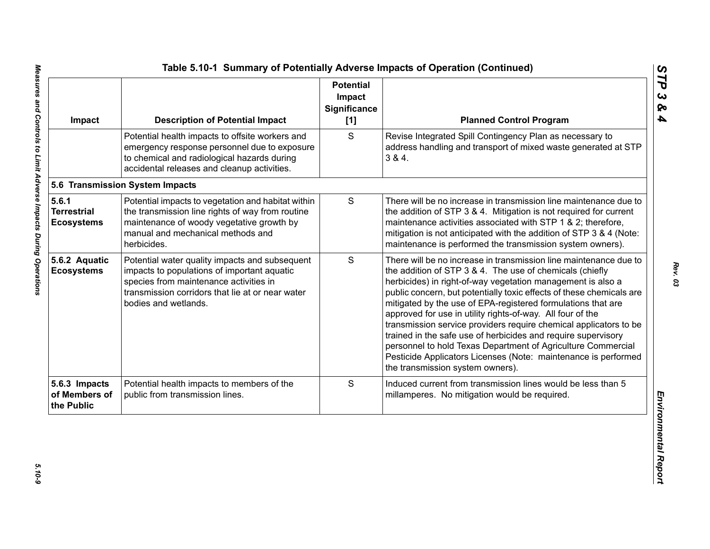| Impact                                           | <b>Description of Potential Impact</b>                                                                                                                                                                              | <b>Potential</b><br>Impact<br><b>Significance</b><br>[1] | <b>Planned Control Program</b>                                                                                                                                                                                                                                                                                                                                                                                                                                                                                                                                                                                                                                                                                 |
|--------------------------------------------------|---------------------------------------------------------------------------------------------------------------------------------------------------------------------------------------------------------------------|----------------------------------------------------------|----------------------------------------------------------------------------------------------------------------------------------------------------------------------------------------------------------------------------------------------------------------------------------------------------------------------------------------------------------------------------------------------------------------------------------------------------------------------------------------------------------------------------------------------------------------------------------------------------------------------------------------------------------------------------------------------------------------|
|                                                  | Potential health impacts to offsite workers and<br>emergency response personnel due to exposure<br>to chemical and radiological hazards during<br>accidental releases and cleanup activities.                       | S                                                        | Revise Integrated Spill Contingency Plan as necessary to<br>address handling and transport of mixed waste generated at STP<br>3 & 4.                                                                                                                                                                                                                                                                                                                                                                                                                                                                                                                                                                           |
|                                                  | 5.6 Transmission System Impacts                                                                                                                                                                                     |                                                          |                                                                                                                                                                                                                                                                                                                                                                                                                                                                                                                                                                                                                                                                                                                |
| 5.6.1<br><b>Terrestrial</b><br><b>Ecosystems</b> | Potential impacts to vegetation and habitat within<br>the transmission line rights of way from routine<br>maintenance of woody vegetative growth by<br>manual and mechanical methods and<br>herbicides.             | ${\mathsf S}$                                            | There will be no increase in transmission line maintenance due to<br>the addition of STP 3 & 4. Mitigation is not required for current<br>maintenance activities associated with STP 1 & 2; therefore,<br>mitigation is not anticipated with the addition of STP 3 & 4 (Note:<br>maintenance is performed the transmission system owners).                                                                                                                                                                                                                                                                                                                                                                     |
| 5.6.2 Aquatic<br><b>Ecosystems</b>               | Potential water quality impacts and subsequent<br>impacts to populations of important aquatic<br>species from maintenance activities in<br>transmission corridors that lie at or near water<br>bodies and wetlands. | S                                                        | There will be no increase in transmission line maintenance due to<br>the addition of STP 3 & 4. The use of chemicals (chiefly<br>herbicides) in right-of-way vegetation management is also a<br>public concern, but potentially toxic effects of these chemicals are<br>mitigated by the use of EPA-registered formulations that are<br>approved for use in utility rights-of-way. All four of the<br>transmission service providers require chemical applicators to be<br>trained in the safe use of herbicides and require supervisory<br>personnel to hold Texas Department of Agriculture Commercial<br>Pesticide Applicators Licenses (Note: maintenance is performed<br>the transmission system owners). |
| 5.6.3 Impacts<br>of Members of<br>the Public     | Potential health impacts to members of the<br>public from transmission lines.                                                                                                                                       | S                                                        | Induced current from transmission lines would be less than 5<br>millamperes. No mitigation would be required.                                                                                                                                                                                                                                                                                                                                                                                                                                                                                                                                                                                                  |

*STP 3 & 4*

*Rev. 03*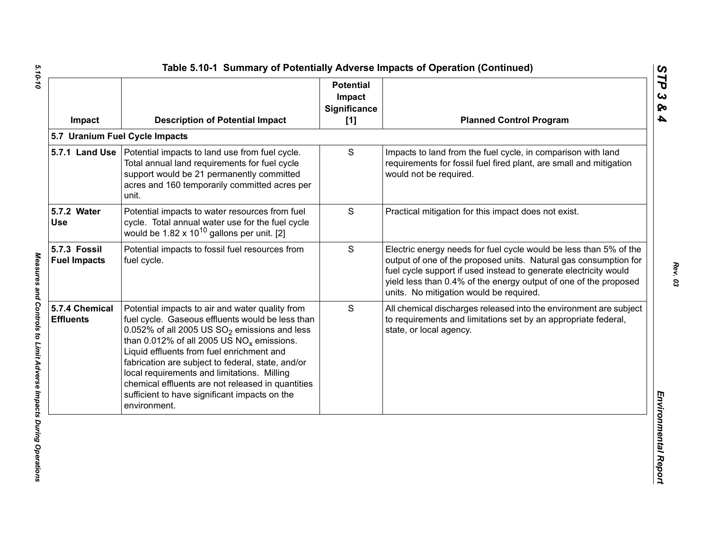| Impact                              | <b>Description of Potential Impact</b>                                                                                                                                                                                                                                                                                                                                                                                                                                        | <b>Potential</b><br>Impact<br><b>Significance</b><br>[1] | <b>Planned Control Program</b>                                                                                                                                                                                                                                                                                           |
|-------------------------------------|-------------------------------------------------------------------------------------------------------------------------------------------------------------------------------------------------------------------------------------------------------------------------------------------------------------------------------------------------------------------------------------------------------------------------------------------------------------------------------|----------------------------------------------------------|--------------------------------------------------------------------------------------------------------------------------------------------------------------------------------------------------------------------------------------------------------------------------------------------------------------------------|
|                                     | 5.7 Uranium Fuel Cycle Impacts                                                                                                                                                                                                                                                                                                                                                                                                                                                |                                                          |                                                                                                                                                                                                                                                                                                                          |
|                                     | 5.7.1 Land Use   Potential impacts to land use from fuel cycle.<br>Total annual land requirements for fuel cycle<br>support would be 21 permanently committed<br>acres and 160 temporarily committed acres per<br>unit.                                                                                                                                                                                                                                                       | S                                                        | Impacts to land from the fuel cycle, in comparison with land<br>requirements for fossil fuel fired plant, are small and mitigation<br>would not be required.                                                                                                                                                             |
| 5.7.2 Water<br><b>Use</b>           | Potential impacts to water resources from fuel<br>cycle. Total annual water use for the fuel cycle<br>would be $1.82 \times 10^{10}$ gallons per unit. [2]                                                                                                                                                                                                                                                                                                                    | S                                                        | Practical mitigation for this impact does not exist.                                                                                                                                                                                                                                                                     |
| 5.7.3 Fossil<br><b>Fuel Impacts</b> | Potential impacts to fossil fuel resources from<br>fuel cycle.                                                                                                                                                                                                                                                                                                                                                                                                                | S                                                        | Electric energy needs for fuel cycle would be less than 5% of the<br>output of one of the proposed units. Natural gas consumption for<br>fuel cycle support if used instead to generate electricity would<br>yield less than 0.4% of the energy output of one of the proposed<br>units. No mitigation would be required. |
| 5.7.4 Chemical<br><b>Effluents</b>  | Potential impacts to air and water quality from<br>fuel cycle. Gaseous effluents would be less than<br>0.052% of all 2005 US $SO_2$ emissions and less<br>than 0.012% of all 2005 US $NO_x$ emissions.<br>Liquid effluents from fuel enrichment and<br>fabrication are subject to federal, state, and/or<br>local requirements and limitations. Milling<br>chemical effluents are not released in quantities<br>sufficient to have significant impacts on the<br>environment. | S                                                        | All chemical discharges released into the environment are subject<br>to requirements and limitations set by an appropriate federal,<br>state, or local agency.                                                                                                                                                           |

5.10-10

*5.10-10 Measures and Controls to Limit Adverse Impacts During Operations*  Measures and Controls to Limit Adverse Impacts During Operations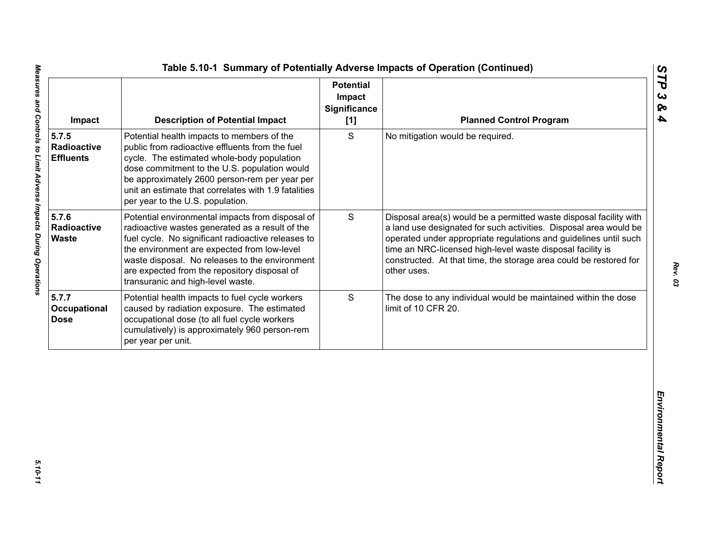| S<br>Potential health impacts to members of the<br>No mitigation would be required.<br>public from radioactive effluents from the fuel<br>Radioactive<br>cycle. The estimated whole-body population<br><b>Effluents</b><br>dose commitment to the U.S. population would<br>be approximately 2600 person-rem per year per<br>unit an estimate that correlates with 1.9 fatalities<br>per year to the U.S. population.<br>5.7.6<br>S<br>Potential environmental impacts from disposal of<br>Radioactive<br>radioactive wastes generated as a result of the<br><b>Waste</b><br>fuel cycle. No significant radioactive releases to<br>time an NRC-licensed high-level waste disposal facility is<br>the environment are expected from low-level<br>waste disposal. No releases to the environment<br>are expected from the repository disposal of<br>other uses.<br>transuranic and high-level waste.<br>S<br>Potential health impacts to fuel cycle workers<br>caused by radiation exposure. The estimated<br>limit of 10 CFR 20.<br>occupational dose (to all fuel cycle workers<br>cumulatively) is approximately 960 person-rem | Impact | <b>Description of Potential Impact</b> | <b>Potential</b><br>Impact<br><b>Significance</b><br>[1] | <b>Planned Control Program</b>                                                                                                                                                                                                                                                   |
|---------------------------------------------------------------------------------------------------------------------------------------------------------------------------------------------------------------------------------------------------------------------------------------------------------------------------------------------------------------------------------------------------------------------------------------------------------------------------------------------------------------------------------------------------------------------------------------------------------------------------------------------------------------------------------------------------------------------------------------------------------------------------------------------------------------------------------------------------------------------------------------------------------------------------------------------------------------------------------------------------------------------------------------------------------------------------------------------------------------------------------|--------|----------------------------------------|----------------------------------------------------------|----------------------------------------------------------------------------------------------------------------------------------------------------------------------------------------------------------------------------------------------------------------------------------|
|                                                                                                                                                                                                                                                                                                                                                                                                                                                                                                                                                                                                                                                                                                                                                                                                                                                                                                                                                                                                                                                                                                                                 | 5.7.5  |                                        |                                                          |                                                                                                                                                                                                                                                                                  |
| 5.7.7<br>Occupational<br><b>Dose</b>                                                                                                                                                                                                                                                                                                                                                                                                                                                                                                                                                                                                                                                                                                                                                                                                                                                                                                                                                                                                                                                                                            |        |                                        |                                                          | Disposal area(s) would be a permitted waste disposal facility with<br>a land use designated for such activities. Disposal area would be<br>operated under appropriate regulations and guidelines until such<br>constructed. At that time, the storage area could be restored for |
| per year per unit.                                                                                                                                                                                                                                                                                                                                                                                                                                                                                                                                                                                                                                                                                                                                                                                                                                                                                                                                                                                                                                                                                                              |        |                                        |                                                          | The dose to any individual would be maintained within the dose                                                                                                                                                                                                                   |
|                                                                                                                                                                                                                                                                                                                                                                                                                                                                                                                                                                                                                                                                                                                                                                                                                                                                                                                                                                                                                                                                                                                                 |        |                                        |                                                          |                                                                                                                                                                                                                                                                                  |

5.10-11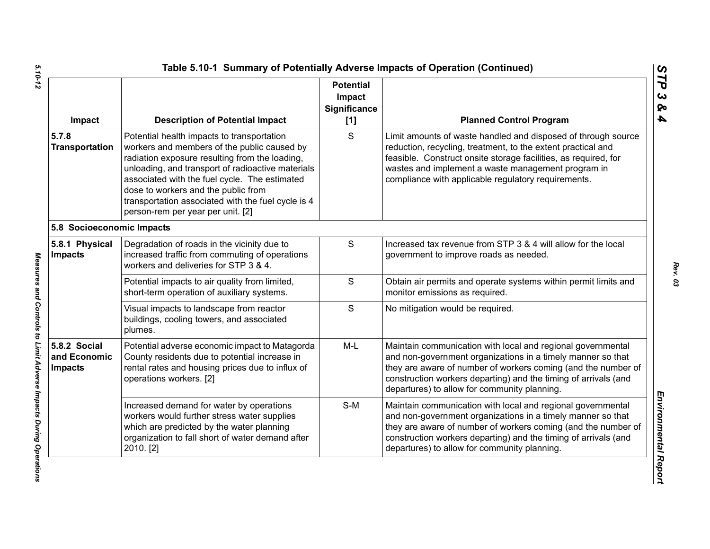| Impact                                         | <b>Description of Potential Impact</b>                                                                                                                                                                                                                                                                                                                                              | <b>Potential</b><br>Impact<br><b>Significance</b><br>[1] | <b>Planned Control Program</b>                                                                                                                                                                                                                                                                                 |
|------------------------------------------------|-------------------------------------------------------------------------------------------------------------------------------------------------------------------------------------------------------------------------------------------------------------------------------------------------------------------------------------------------------------------------------------|----------------------------------------------------------|----------------------------------------------------------------------------------------------------------------------------------------------------------------------------------------------------------------------------------------------------------------------------------------------------------------|
| 5.7.8<br><b>Transportation</b>                 | Potential health impacts to transportation<br>workers and members of the public caused by<br>radiation exposure resulting from the loading,<br>unloading, and transport of radioactive materials<br>associated with the fuel cycle. The estimated<br>dose to workers and the public from<br>transportation associated with the fuel cycle is 4<br>person-rem per year per unit. [2] | S                                                        | Limit amounts of waste handled and disposed of through source<br>reduction, recycling, treatment, to the extent practical and<br>feasible. Construct onsite storage facilities, as required, for<br>wastes and implement a waste management program in<br>compliance with applicable regulatory requirements.  |
| 5.8 Socioeconomic Impacts                      |                                                                                                                                                                                                                                                                                                                                                                                     |                                                          |                                                                                                                                                                                                                                                                                                                |
| 5.8.1 Physical<br><b>Impacts</b>               | Degradation of roads in the vicinity due to<br>increased traffic from commuting of operations<br>workers and deliveries for STP 3 & 4.                                                                                                                                                                                                                                              | ${\mathsf S}$                                            | Increased tax revenue from STP 3 & 4 will allow for the local<br>government to improve roads as needed.                                                                                                                                                                                                        |
|                                                | Potential impacts to air quality from limited,<br>short-term operation of auxiliary systems.                                                                                                                                                                                                                                                                                        | $\mathsf{S}$                                             | Obtain air permits and operate systems within permit limits and<br>monitor emissions as required.                                                                                                                                                                                                              |
|                                                | Visual impacts to landscape from reactor<br>buildings, cooling towers, and associated<br>plumes.                                                                                                                                                                                                                                                                                    | S                                                        | No mitigation would be required.                                                                                                                                                                                                                                                                               |
| 5.8.2 Social<br>and Economic<br><b>Impacts</b> | Potential adverse economic impact to Matagorda<br>County residents due to potential increase in<br>rental rates and housing prices due to influx of<br>operations workers. [2]                                                                                                                                                                                                      | $M-L$                                                    | Maintain communication with local and regional governmental<br>and non-government organizations in a timely manner so that<br>they are aware of number of workers coming (and the number of<br>construction workers departing) and the timing of arrivals (and<br>departures) to allow for community planning. |
|                                                | Increased demand for water by operations<br>workers would further stress water supplies<br>which are predicted by the water planning<br>organization to fall short of water demand after<br>2010. [2]                                                                                                                                                                               | $S-M$                                                    | Maintain communication with local and regional governmental<br>and non-government organizations in a timely manner so that<br>they are aware of number of workers coming (and the number of<br>construction workers departing) and the timing of arrivals (and<br>departures) to allow for community planning. |

*STP 3 & 4*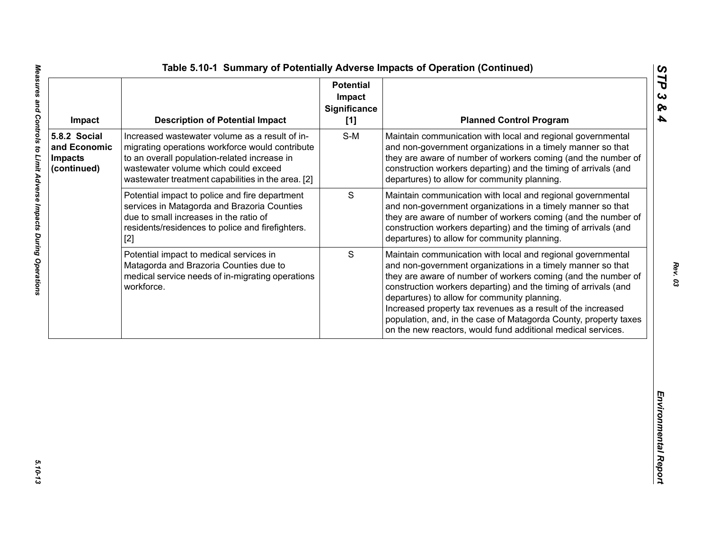| Impact                                                        | <b>Description of Potential Impact</b>                                                                                                                                                                                                          | <b>Potential</b><br>Impact<br><b>Significance</b><br>[1] | <b>Planned Control Program</b>                                                                                                                                                                                                                                                                                                                                                                                                                                                                                     |
|---------------------------------------------------------------|-------------------------------------------------------------------------------------------------------------------------------------------------------------------------------------------------------------------------------------------------|----------------------------------------------------------|--------------------------------------------------------------------------------------------------------------------------------------------------------------------------------------------------------------------------------------------------------------------------------------------------------------------------------------------------------------------------------------------------------------------------------------------------------------------------------------------------------------------|
| 5.8.2 Social<br>and Economic<br><b>Impacts</b><br>(continued) | Increased wastewater volume as a result of in-<br>migrating operations workforce would contribute<br>to an overall population-related increase in<br>wastewater volume which could exceed<br>wastewater treatment capabilities in the area. [2] | $S-M$                                                    | Maintain communication with local and regional governmental<br>and non-government organizations in a timely manner so that<br>they are aware of number of workers coming (and the number of<br>construction workers departing) and the timing of arrivals (and<br>departures) to allow for community planning.                                                                                                                                                                                                     |
|                                                               | Potential impact to police and fire department<br>services in Matagorda and Brazoria Counties<br>due to small increases in the ratio of<br>residents/residences to police and firefighters.<br>$[2]$                                            | $\mathbf S$                                              | Maintain communication with local and regional governmental<br>and non-government organizations in a timely manner so that<br>they are aware of number of workers coming (and the number of<br>construction workers departing) and the timing of arrivals (and<br>departures) to allow for community planning.                                                                                                                                                                                                     |
|                                                               | Potential impact to medical services in<br>Matagorda and Brazoria Counties due to<br>medical service needs of in-migrating operations<br>workforce.                                                                                             | S                                                        | Maintain communication with local and regional governmental<br>and non-government organizations in a timely manner so that<br>they are aware of number of workers coming (and the number of<br>construction workers departing) and the timing of arrivals (and<br>departures) to allow for community planning.<br>Increased property tax revenues as a result of the increased<br>population, and, in the case of Matagorda County, property taxes<br>on the new reactors, would fund additional medical services. |
|                                                               |                                                                                                                                                                                                                                                 |                                                          |                                                                                                                                                                                                                                                                                                                                                                                                                                                                                                                    |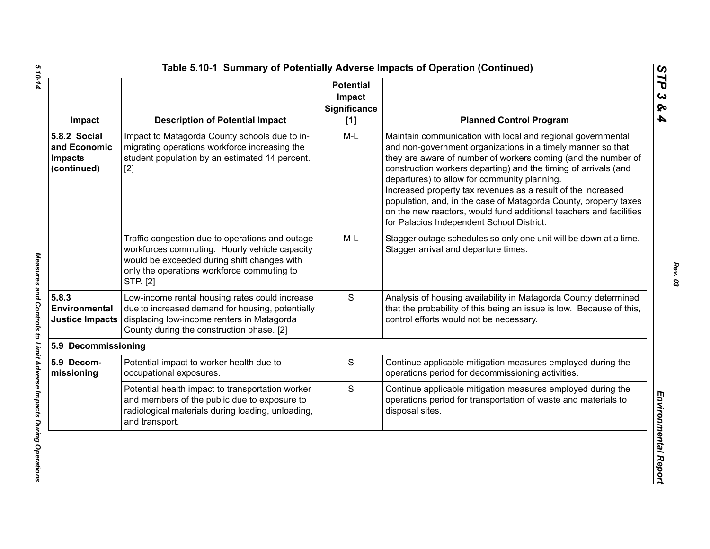| Impact                                                        | <b>Description of Potential Impact</b>                                                                                                                                                                    | <b>Potential</b><br>Impact<br><b>Significance</b><br>[1] | <b>Planned Control Program</b>                                                                                                                                                                                                                                                                                                                                                                                                                                                                                                                                        |
|---------------------------------------------------------------|-----------------------------------------------------------------------------------------------------------------------------------------------------------------------------------------------------------|----------------------------------------------------------|-----------------------------------------------------------------------------------------------------------------------------------------------------------------------------------------------------------------------------------------------------------------------------------------------------------------------------------------------------------------------------------------------------------------------------------------------------------------------------------------------------------------------------------------------------------------------|
| 5.8.2 Social<br>and Economic<br><b>Impacts</b><br>(continued) | Impact to Matagorda County schools due to in-<br>migrating operations workforce increasing the<br>student population by an estimated 14 percent.<br>$[2]$                                                 | $M-L$                                                    | Maintain communication with local and regional governmental<br>and non-government organizations in a timely manner so that<br>they are aware of number of workers coming (and the number of<br>construction workers departing) and the timing of arrivals (and<br>departures) to allow for community planning.<br>Increased property tax revenues as a result of the increased<br>population, and, in the case of Matagorda County, property taxes<br>on the new reactors, would fund additional teachers and facilities<br>for Palacios Independent School District. |
|                                                               | Traffic congestion due to operations and outage<br>workforces commuting. Hourly vehicle capacity<br>would be exceeded during shift changes with<br>only the operations workforce commuting to<br>STP. [2] | M-L                                                      | Stagger outage schedules so only one unit will be down at a time.<br>Stagger arrival and departure times.                                                                                                                                                                                                                                                                                                                                                                                                                                                             |
| 5.8.3<br>Environmental<br><b>Justice Impacts</b>              | Low-income rental housing rates could increase<br>due to increased demand for housing, potentially<br>displacing low-income renters in Matagorda<br>County during the construction phase. [2]             | S                                                        | Analysis of housing availability in Matagorda County determined<br>that the probability of this being an issue is low. Because of this,<br>control efforts would not be necessary.                                                                                                                                                                                                                                                                                                                                                                                    |
| 5.9 Decommissioning                                           |                                                                                                                                                                                                           |                                                          |                                                                                                                                                                                                                                                                                                                                                                                                                                                                                                                                                                       |
| 5.9 Decom-<br>missioning                                      | Potential impact to worker health due to<br>occupational exposures.                                                                                                                                       | S                                                        | Continue applicable mitigation measures employed during the<br>operations period for decommissioning activities.                                                                                                                                                                                                                                                                                                                                                                                                                                                      |
|                                                               | Potential health impact to transportation worker<br>and members of the public due to exposure to<br>radiological materials during loading, unloading,<br>and transport.                                   | S                                                        | Continue applicable mitigation measures employed during the<br>operations period for transportation of waste and materials to<br>disposal sites.                                                                                                                                                                                                                                                                                                                                                                                                                      |